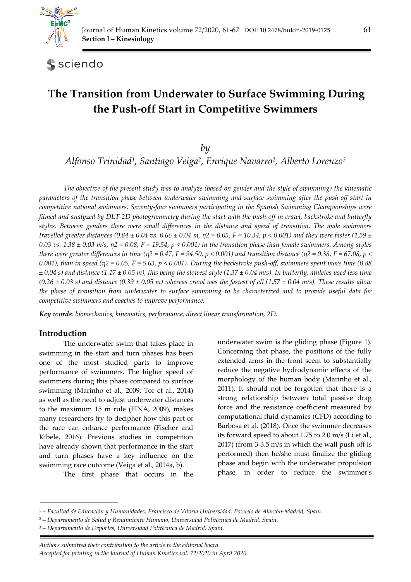

sciendo

# **The Transition from Underwater to Surface Swimming During the Push-off Start in Competitive Swimmers**

*by* 

*Alfonso Trinidad1, Santiago Veiga2, Enrique Navarro2, Alberto Lorenzo3*

*The objective of the present study was to analyze (based on gender and the style of swimming) the kinematic parameters of the transition phase between underwater swimming and surface swimming after the push-off start in competitive national swimmers. Seventy-four swimmers participating in the Spanish Swimming Championships were filmed and analyzed by DLT-2D photogrammetry during the start with the push-off in crawl, backstroke and butterfly styles. Between genders there were small differences in the distance and speed of transition. The male swimmers travelled greater distances* (0.84 ± 0.04 *vs.* 0.66 ± 0.04 *m, η*2 = 0.05, *F* = 10.34, *p* < 0.001) and they were faster (1.59 ± *0.03 vs. 1.38 ± 0.03 m/s, η2 = 0.08, F = 19.54, p < 0.001) in the transition phase than female swimmers. Among styles there were greater differences in time (η2 = 0.47, F = 94.50, p < 0.001) and transition distance (η2 = 0.38, F = 67.08, p < 0.001), than in speed (η2 = 0.05, F = 5.63, p < 0.001). During the backstroke push-off, swimmers spent more time (0.88 ± 0.04 s) and distance (1.17 ± 0.05 m), this being the slowest style (1.37 ± 0.04 m/s). In butterfly, athletes used less time*   $(0.26 \pm 0.03 \text{ s})$  and distance  $(0.39 \pm 0.05 \text{ m})$  whereas crawl was the fastest of all  $(1.57 \pm 0.04 \text{ m/s})$ . These results allow *the phase of transition from underwater to surface swimming to be characterized and to provide useful data for competitive swimmers and coaches to improve performance.* 

*Key words: biomechanics, kinematics, performance, direct linear transformation, 2D.* 

## **Introduction**

The underwater swim that takes place in swimming in the start and turn phases has been one of the most studied parts to improve performance of swimmers. The higher speed of swimmers during this phase compared to surface swimming (Marinho et al., 2009; Tor et al., 2014) as well as the need to adjust underwater distances to the maximum 15 m rule (FINA, 2009), makes many researchers try to decipher how this part of the race can enhance performance (Fischer and Kibele, 2016). Previous studies in competition have already shown that performance in the start and turn phases have a key influence on the swimming race outcome (Veiga et al., 2014a, b).

The first phase that occurs in the

underwater swim is the gliding phase (Figure 1). Concerning that phase, the positions of the fully extended arms in the front seem to substantially reduce the negative hydrodynamic effects of the morphology of the human body (Marinho et al., 2011). It should not be forgotten that there is a strong relationship between total passive drag force and the resistance coefficient measured by computational fluid dynamics (CFD) according to Barbosa et al. (2018). Once the swimmer decreases its forward speed to about 1.75 to 2.0 m/s (Li et al., 2017) (from 3-3.5 m/s in which the wall push off is performed) then he/she must finalize the gliding phase and begin with the underwater propulsion phase, in order to reduce the swimmer's

*Authors submitted their contribution to the article to the editorial board.* 

*Accepted for printing in the Journal of Human Kinetics vol. 72/2020 in April 2020.* 

<sup>1 –</sup> *Facultad de Educación y Humanidades, Francisco de Vitoria Universidad, Pozuelo de Alarcón-Madrid, Spain.* 

<sup>2 –</sup> *Departamento de Salud y Rendimiento Humano, Universidad Politécnica de Madrid, Spain.* 

<sup>3 –</sup> *Departamento de Deportes, Universidad Politécnica de Madrid, Spain.*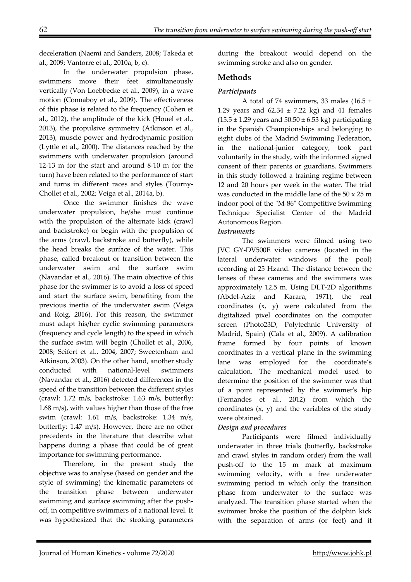deceleration (Naemi and Sanders, 2008; Takeda et al., 2009; Vantorre et al., 2010a, b, c).

In the underwater propulsion phase, swimmers move their feet simultaneously vertically (Von Loebbecke et al., 2009), in a wave motion (Connaboy et al., 2009). The effectiveness of this phase is related to the frequency (Cohen et al., 2012), the amplitude of the kick (Houel et al., 2013), the propulsive symmetry (Atkinson et al., 2013), muscle power and hydrodynamic position (Lyttle et al., 2000). The distances reached by the swimmers with underwater propulsion (around 12-13 m for the start and around 8-10 m for the turn) have been related to the performance of start and turns in different races and styles (Tourny-Chollet et al., 2002; Veiga et al., 2014a, b).

Once the swimmer finishes the wave underwater propulsion, he/she must continue with the propulsion of the alternate kick (crawl and backstroke) or begin with the propulsion of the arms (crawl, backstroke and butterfly), while the head breaks the surface of the water. This phase, called breakout or transition between the underwater swim and the surface swim (Navandar et al., 2016). The main objective of this phase for the swimmer is to avoid a loss of speed and start the surface swim, benefiting from the previous inertia of the underwater swim (Veiga and Roig, 2016). For this reason, the swimmer must adapt his/her cyclic swimming parameters (frequency and cycle length) to the speed in which the surface swim will begin (Chollet et al., 2006, 2008; Seifert et al., 2004, 2007; Sweetenham and Atkinson, 2003). On the other hand, another study conducted with national-level swimmers (Navandar et al., 2016) detected differences in the speed of the transition between the different styles (crawl: 1.72 m/s, backstroke: 1.63 m/s, butterfly: 1.68 m/s), with values higher than those of the free swim (crawl: 1.61 m/s, backstroke: 1.34 m/s, butterfly: 1.47 m/s). However, there are no other precedents in the literature that describe what happens during a phase that could be of great importance for swimming performance.

Therefore, in the present study the objective was to analyse (based on gender and the style of swimming) the kinematic parameters of the transition phase between underwater swimming and surface swimming after the pushoff, in competitive swimmers of a national level. It was hypothesized that the stroking parameters

during the breakout would depend on the swimming stroke and also on gender.

# **Methods**

# *Participants*

A total of 74 swimmers, 33 males (16.5  $\pm$ 1.29 years and  $62.34 \pm 7.22$  kg) and 41 females  $(15.5 \pm 1.29 \text{ years and } 50.50 \pm 6.53 \text{ kg})$  participating in the Spanish Championships and belonging to eight clubs of the Madrid Swimming Federation, in the national-junior category, took part voluntarily in the study, with the informed signed consent of their parents or guardians. Swimmers in this study followed a training regime between 12 and 20 hours per week in the water. The trial was conducted in the middle lane of the 50 x 25 m indoor pool of the "M-86" Competitive Swimming Technique Specialist Center of the Madrid Autonomous Region.

## *Instruments*

 The swimmers were filmed using two JVC GY-DV500E video cameras (located in the lateral underwater windows of the pool) recording at 25 Hzand. The distance between the lenses of these cameras and the swimmers was approximately 12.5 m. Using DLT-2D algorithms (Abdel-Aziz and Karara, 1971), the real coordinates (x, y) were calculated from the digitalized pixel coordinates on the computer screen (Photo23D, Polytechnic University of Madrid, Spain) (Cala et al., 2009). A calibration frame formed by four points of known coordinates in a vertical plane in the swimming lane was employed for the coordinate's calculation. The mechanical model used to determine the position of the swimmer was that of a point represented by the swimmer's hip (Fernandes et al., 2012) from which the coordinates  $(x, y)$  and the variables of the study were obtained.

## *Design and procedures*

 Participants were filmed individually underwater in three trials (butterfly, backstroke and crawl styles in random order) from the wall push-off to the 15 m mark at maximum swimming velocity, with a free underwater swimming period in which only the transition phase from underwater to the surface was analyzed. The transition phase started when the swimmer broke the position of the dolphin kick with the separation of arms (or feet) and it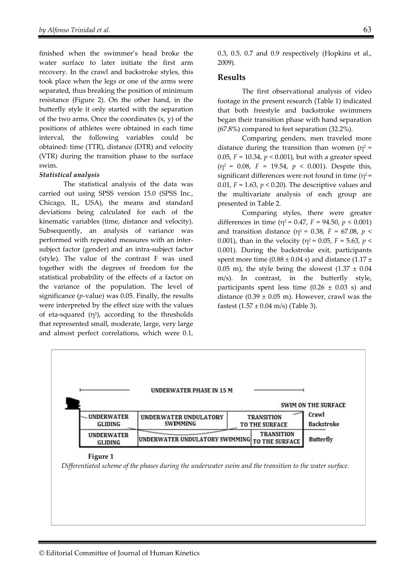finished when the swimmer's head broke the water surface to later initiate the first arm recovery. In the crawl and backstroke styles, this took place when the legs or one of the arms were separated, thus breaking the position of minimum resistance (Figure 2). On the other hand, in the butterfly style it only started with the separation of the two arms. Once the coordinates  $(x, y)$  of the positions of athletes were obtained in each time interval, the following variables could be obtained: time (TTR), distance (DTR) and velocity (VTR) during the transition phase to the surface swim.

#### *Statistical analysis*

 The statistical analysis of the data was carried out using SPSS version 15.0 (SPSS Inc., Chicago, IL, USA), the means and standard deviations being calculated for each of the kinematic variables (time, distance and velocity). Subsequently, an analysis of variance was performed with repeated measures with an intersubject factor (gender) and an intra-subject factor (style). The value of the contrast F was used together with the degrees of freedom for the statistical probability of the effects of a factor on the variance of the population. The level of significance (*p*-value) was 0.05. Finally, the results were interpreted by the effect size with the values of eta-squared  $(\eta^2)$ , according to the thresholds that represented small, moderate, large, very large and almost perfect correlations, which were 0.1,

0.3, 0.5, 0.7 and 0.9 respectively (Hopkins et al., 2009).

### **Results**

 The first observational analysis of video footage in the present research (Table 1) indicated that both freestyle and backstroke swimmers began their transition phase with hand separation (67.8%) compared to feet separation (32.2%).

Comparing genders, men traveled more distance during the transition than women ( $\eta^2$  = 0.05, *F* = 10.34, *p* < 0.001), but with a greater speed (η2 = 0.08, *F* = 19.54, *p* < 0.001). Despite this, significant differences were not found in time  $(\eta^2 =$ 0.01,  $F = 1.63$ ,  $p < 0.20$ ). The descriptive values and the multivariate analysis of each group are presented in Table 2.

 Comparing styles, there were greater differences in time ( $\eta^2$  = 0.47, *F* = 94.50, *p* < 0.001) and transition distance ( $\eta^2$  = 0.38, *F* = 67.08, *p* < 0.001), than in the velocity ( $\eta^2$  = 0.05, *F* = 5.63, *p* < 0.001). During the backstroke exit, participants spent more time (0.88  $\pm$  0.04 s) and distance (1.17  $\pm$ 0.05 m), the style being the slowest  $(1.37 \pm 0.04)$ m/s). In contrast, in the butterfly style, participants spent less time  $(0.26 \pm 0.03 \text{ s})$  and distance  $(0.39 \pm 0.05 \text{ m})$ . However, crawl was the fastest  $(1.57 \pm 0.04 \text{ m/s})$  (Table 3).

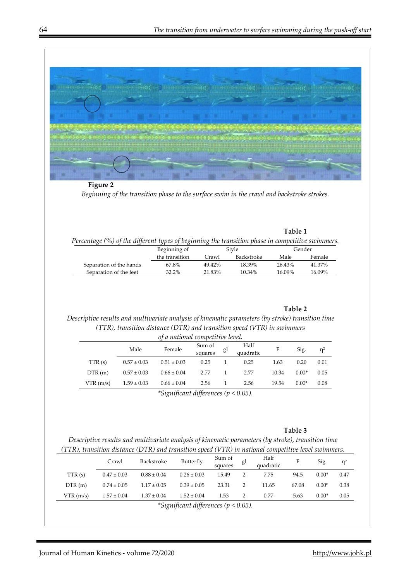

**Figure 2**  *Beginning of the transition phase to the surface swim in the crawl and backstroke strokes.* 

*Percentage (%) of the different types of beginning the transition phase in competitive swimmers.* 

|                         | Beginning of   | Style  |            |        | Gender |
|-------------------------|----------------|--------|------------|--------|--------|
|                         | the transition | Crawl  | Backstroke | Male   | Female |
| Separation of the hands | 67.8%          | 49.42% | 18.39%     | 26.43% | 41.37% |
| Separation of the feet  | 32.2%          | 21.83% | $10.34\%$  | 16.09% | 16.09% |

#### **Table 2**

**Table 1** 

## *Descriptive results and multivariate analysis of kinematic parameters (by stroke) transition time (TTR), transition distance (DTR) and transition speed (VTR) in swimmers*

| of a national competitive level. |                 |                 |                   |    |                   |       |         |          |
|----------------------------------|-----------------|-----------------|-------------------|----|-------------------|-------|---------|----------|
|                                  | Male            | Female          | Sum of<br>squares | gl | Half<br>quadratic | F     | Sig.    | $\eta^2$ |
| TTR(s)                           | $0.57 \pm 0.03$ | $0.51 \pm 0.03$ | 0.25              |    | 0.25              | 1.63  | 0.20    | 0.01     |
| DTR(m)                           | $0.57 \pm 0.03$ | $0.66 \pm 0.04$ | 2.77              | 1. | 2.77              | 10.34 | $0.00*$ | 0.05     |
| VTR(m/s)                         | $1.59 \pm 0.03$ | $0.66 \pm 0.04$ | 2.56              |    | 2.56              | 19.54 | $0.00*$ | 0.08     |
|                                  |                 |                 |                   |    |                   |       |         |          |

*\*Significant differences (p < 0.05).* 

#### **Table 3**

*Descriptive results and multivariate analysis of kinematic parameters (by stroke), transition time (TTR), transition distance (DTR) and transition speed (VTR) in national competitive level swimmers.* 

| .                                        |                 |                 |                 |                   |                |                   |       |         |       |  |
|------------------------------------------|-----------------|-----------------|-----------------|-------------------|----------------|-------------------|-------|---------|-------|--|
|                                          | Crawl           | Backstroke      | Butterfly       | Sum of<br>squares | gl             | Half<br>quadratic | F     | Sig.    | $n^2$ |  |
| TTR(s)                                   | $0.47 \pm 0.03$ | $0.88 \pm 0.04$ | $0.26 \pm 0.03$ | 15.49             | $\overline{2}$ | 7.75              | 94.5  | $0.00*$ | 0.47  |  |
| DTR(m)                                   | $0.74 \pm 0.05$ | $1.17 \pm 0.05$ | $0.39 \pm 0.05$ | 23.31             | $\overline{2}$ | 11.65             | 67.08 | $0.00*$ | 0.38  |  |
| VTR(m/s)                                 | $1.57 \pm 0.04$ | $1.37 \pm 0.04$ | $1.52 \pm 0.04$ | 1.53              | 2              | 0.77              | 5.63  | $0.00*$ | 0.05  |  |
| *Significant differences ( $p < 0.05$ ). |                 |                 |                 |                   |                |                   |       |         |       |  |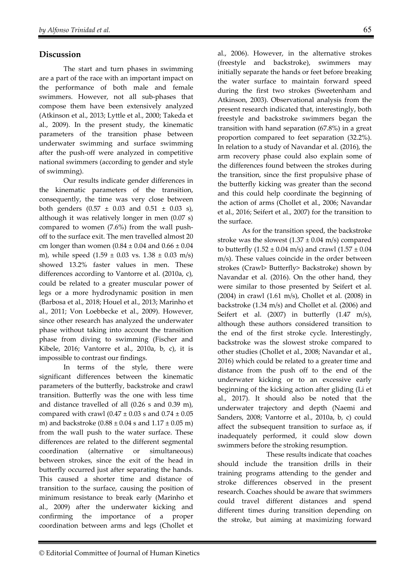## **Discussion**

The start and turn phases in swimming are a part of the race with an important impact on the performance of both male and female swimmers. However, not all sub-phases that compose them have been extensively analyzed (Atkinson et al., 2013; Lyttle et al., 2000; Takeda et al., 2009). In the present study, the kinematic parameters of the transition phase between underwater swimming and surface swimming after the push-off were analyzed in competitive national swimmers (according to gender and style of swimming).

Our results indicate gender differences in the kinematic parameters of the transition, consequently, the time was very close between both genders  $(0.57 \pm 0.03 \text{ and } 0.51 \pm 0.03 \text{ s})$ , although it was relatively longer in men (0.07 s) compared to women (7.6%) from the wall pushoff to the surface exit. The men travelled almost 20 cm longer than women  $(0.84 \pm 0.04$  and  $0.66 \pm 0.04$ m), while speed  $(1.59 \pm 0.03 \text{ vs. } 1.38 \pm 0.03 \text{ m/s})$ showed 13.2% faster values in men. These differences according to Vantorre et al. (2010a, c), could be related to a greater muscular power of legs or a more hydrodynamic position in men (Barbosa et al., 2018; Houel et al., 2013; Marinho et al., 2011; Von Loebbecke et al., 2009). However, since other research has analyzed the underwater phase without taking into account the transition phase from diving to swimming (Fischer and Kibele, 2016; Vantorre et al., 2010a, b, c), it is impossible to contrast our findings.

In terms of the style, there were significant differences between the kinematic parameters of the butterfly, backstroke and crawl transition. Butterfly was the one with less time and distance travelled of all (0.26 s and 0.39 m), compared with crawl ( $0.47 \pm 0.03$  s and  $0.74 \pm 0.05$ m) and backstroke  $(0.88 \pm 0.04 \text{ s}$  and  $1.17 \pm 0.05 \text{ m})$ from the wall push to the water surface. These differences are related to the different segmental coordination (alternative or simultaneous) between strokes, since the exit of the head in butterfly occurred just after separating the hands. This caused a shorter time and distance of transition to the surface, causing the position of minimum resistance to break early (Marinho et al., 2009) after the underwater kicking and confirming the importance of a proper coordination between arms and legs (Chollet et

al., 2006). However, in the alternative strokes (freestyle and backstroke), swimmers may initially separate the hands or feet before breaking the water surface to maintain forward speed during the first two strokes (Sweetenham and Atkinson, 2003). Observational analysis from the present research indicated that, interestingly, both freestyle and backstroke swimmers began the transition with hand separation (67.8%) in a great proportion compared to feet separation (32.2%). In relation to a study of Navandar et al. (2016), the arm recovery phase could also explain some of the differences found between the strokes during the transition, since the first propulsive phase of the butterfly kicking was greater than the second and this could help coordinate the beginning of the action of arms (Chollet et al., 2006; Navandar et al., 2016; Seifert et al., 2007) for the transition to the surface.

As for the transition speed, the backstroke stroke was the slowest  $(1.37 \pm 0.04 \text{ m/s})$  compared to butterfly  $(1.52 \pm 0.04 \text{ m/s})$  and crawl  $(1.57 \pm 0.04 \text{ m/s})$ m/s). These values coincide in the order between strokes (Crawl> Butterfly> Backstroke) shown by Navandar et al. (2016). On the other hand, they were similar to those presented by Seifert et al. (2004) in crawl (1.61 m/s), Chollet et al. (2008) in backstroke (1.34 m/s) and Chollet et al. (2006) and Seifert et al. (2007) in butterfly (1.47 m/s), although these authors considered transition to the end of the first stroke cycle. Interestingly, backstroke was the slowest stroke compared to other studies (Chollet et al., 2008; Navandar et al., 2016) which could be related to a greater time and distance from the push off to the end of the underwater kicking or to an excessive early beginning of the kicking action after gliding (Li et al., 2017). It should also be noted that the underwater trajectory and depth (Naemi and Sanders, 2008; Vantorre et al., 2010a, b, c) could affect the subsequent transition to surface as, if inadequately performed, it could slow down swimmers before the stroking resumption.

 These results indicate that coaches should include the transition drills in their training programs attending to the gender and stroke differences observed in the present research. Coaches should be aware that swimmers could travel different distances and spend different times during transition depending on the stroke, but aiming at maximizing forward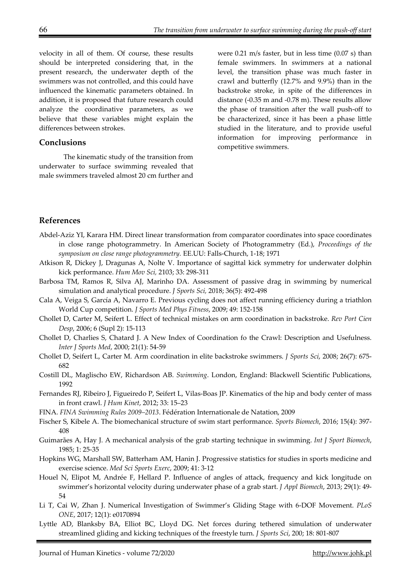velocity in all of them. Of course, these results should be interpreted considering that, in the present research, the underwater depth of the swimmers was not controlled, and this could have influenced the kinematic parameters obtained. In addition, it is proposed that future research could analyze the coordinative parameters, as we believe that these variables might explain the differences between strokes.

#### **Conclusions**

The kinematic study of the transition from underwater to surface swimming revealed that male swimmers traveled almost 20 cm further and were 0.21 m/s faster, but in less time (0.07 s) than female swimmers. In swimmers at a national level, the transition phase was much faster in crawl and butterfly (12.7% and 9.9%) than in the backstroke stroke, in spite of the differences in distance (-0.35 m and -0.78 m). These results allow the phase of transition after the wall push-off to be characterized, since it has been a phase little studied in the literature, and to provide useful information for improving performance in competitive swimmers.

## **References**

- Abdel-Aziz YI, Karara HM. Direct linear transformation from comparator coordinates into space coordinates in close range photogrammetry. In American Society of Photogrammetry (Ed.), *Proceedings of the symposium on close range photogrammetry.* EE.UU: Falls-Church, 1-18; 1971
- Atkison R, Dickey J, Dragunas A, Nolte V. Importance of sagittal kick symmetry for underwater dolphin kick performance. *Hum Mov Sci,* 2103; 33: 298-311
- Barbosa TM, Ramos R, Silva AJ, Marinho DA. Assessment of passive drag in swimming by numerical simulation and analytical procedure. *J Sports Sci,* 2018; 36(5): 492-498
- Cala A, Veiga S, García A, Navarro E. Previous cycling does not affect running efficiency during a triathlon World Cup competition. *J Sports Med Phys Fitness*, 2009; 49: 152-158
- Chollet D, Carter M, Seifert L. Effect of technical mistakes on arm coordination in backstroke. *Rev Port Cien Desp*, 2006; 6 (Supl 2): 15-113
- Chollet D, Charlies S, Chatard J. A New Index of Coordination fo the Crawl: Description and Usefulness. *Inter J Sports Med*, 2000; 21(1): 54-59
- Chollet D, Seifert L, Carter M. Arm coordination in elite backstroke swimmers. *J Sports Sci*, 2008; 26(7): 675- 682
- Costill DL, Maglischo EW, Richardson AB. *Swimming*. London, England: Blackwell Scientific Publications, 1992
- Fernandes RJ, Ribeiro J, Figueiredo P, Seifert L, Vilas-Boas JP. Kinematics of the hip and body center of mass in front crawl. *J Hum Kinet*, 2012; 33: 15–23
- FINA. *FINA Swimming Rules 2009–2013*. Fédération Internationale de Natation, 2009
- Fischer S, Kibele A. The biomechanical structure of swim start performance. *Sports Biomech*, 2016; 15(4): 397- 408
- Guimarães A, Hay J. A mechanical analysis of the grab starting technique in swimming. *Int J Sport Biomech*, 1985; 1: 25-35
- Hopkins WG, Marshall SW, Batterham AM, Hanin J. Progressive statistics for studies in sports medicine and exercise science. *Med Sci Sports Exerc*, 2009; 41: 3-12
- Houel N, Elipot M, Andrée F, Hellard P. Influence of angles of attack, frequency and kick longitude on swimmer's horizontal velocity during underwater phase of a grab start. *J Appl Biomech*, 2013; 29(1): 49- 54
- Li T, Cai W, Zhan J. Numerical Investigation of Swimmer's Gliding Stage with 6-DOF Movement. *PLoS ONE*, 2017; 12(1): e0170894
- Lyttle AD, Blanksby BA, Elliot BC, Lloyd DG. Net forces during tethered simulation of underwater streamlined gliding and kicking techniques of the freestyle turn. *J Sports Sci*, 200; 18: 801-807